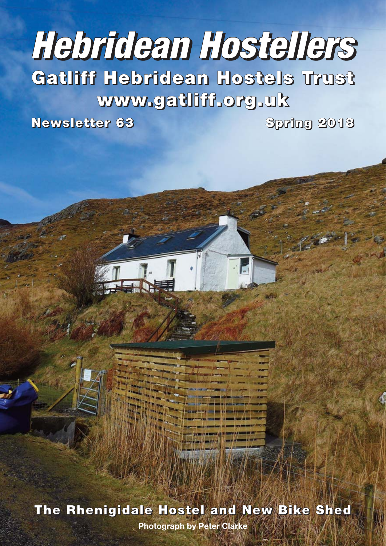# **Hebridean Hostellers**

**Gatliff Hebridean Hostels Trust www.gatliff.org.uk**

**Newsletter 63 Spring 2018**

**The Rhenigidale Hostel and New Bike Shed**

**Photograph by Peter Clarke**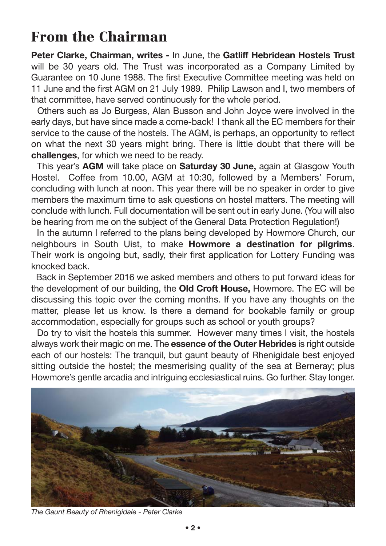## **From the Chairman**

**Peter Clarke, Chairman, writes -** In June, the **Gatliff Hebridean Hostels Trust** will be 30 years old. The Trust was incorporated as a Company Limited by Guarantee on 10 June 1988. The first Executive Committee meeting was held on 11 June and the first AGM on 21 July 1989. Philip Lawson and I, two members of that committee, have served continuously for the whole period.

Others such as Jo Burgess, Alan Busson and John Joyce were involved in the early days, but have since made a come-back! I thank all the EC members for their service to the cause of the hostels. The AGM, is perhaps, an opportunity to reflect on what the next 30 years might bring. There is little doubt that there will be **challenges**, for which we need to be ready.

This year's **AGM** will take place on **Saturday 30 June,** again at Glasgow Youth Hostel. Coffee from 10.00, AGM at 10:30, followed by a Members' Forum, concluding with lunch at noon. This year there will be no speaker in order to give members the maximum time to ask questions on hostel matters. The meeting will conclude with lunch. Full documentation will be sent out in early June. (You will also be hearing from me on the subject of the General Data Protection Regulation!)

In the autumn I referred to the plans being developed by Howmore Church, our neighbours in South Uist, to make **Howmore a destination for pilgrims**. Their work is ongoing but, sadly, their first application for Lottery Funding was knocked back.

Back in September 2016 we asked members and others to put forward ideas for the development of our building, the **Old Croft House,** Howmore. The EC will be discussing this topic over the coming months. If you have any thoughts on the matter, please let us know. Is there a demand for bookable family or group accommodation, especially for groups such as school or youth groups?

Do try to visit the hostels this summer. However many times I visit, the hostels always work their magic on me. The **essence of the Outer Hebrides** is right outside each of our hostels: The tranquil, but gaunt beauty of Rhenigidale best enjoyed sitting outside the hostel; the mesmerising quality of the sea at Berneray; plus Howmore's gentle arcadia and intriguing ecclesiastical ruins. Go further. Stay longer.



*The Gaunt Beauty of Rhenigidale - Peter Clarke*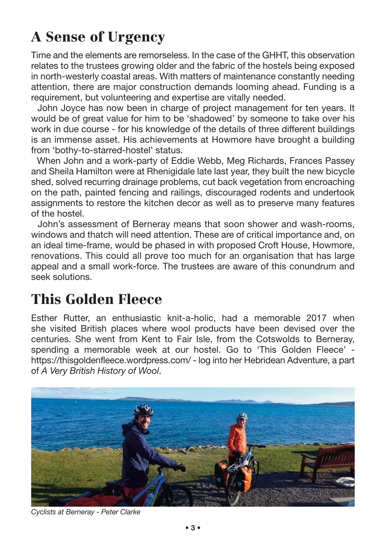# **A Sense of Urgency**

Time and the elements are remorseless. In the case of the GHHT, this observation relates to the trustees growing older and the fabric of the hostels being exposed in north-westerly coastal areas. With matters of maintenance constantly needing attention, there are major construction demands looming ahead. Funding is a requirement, but volunteering and expertise are vitally needed.

John Joyce has now been in charge of project management for ten years. It would be of great value for him to be 'shadowed' by someone to take over his work in due course - for his knowledge of the details of three different buildings is an immense asset. His achievements at Howmore have brought a building from 'bothy-to-starred-hostel' status.

When John and a work-party of Eddie Webb, Meg Richards, Frances Passey and Sheila Hamilton were at Rhenigidale late last year, they built the new bicycle shed, solved recurring drainage problems, cut back vegetation from encroaching on the path, painted fencing and railings, discouraged rodents and undertook assignments to restore the kitchen decor as well as to preserve many features of the hostel.

John's assessment of Berneray means that soon shower and wash-rooms, windows and thatch will need attention. These are of critical importance and, on an ideal time-frame, would be phased in with proposed Croft House, Howmore, renovations. This could all prove too much for an organisation that has large appeal and a small work-force. The trustees are aware of this conundrum and seek solutions.

## **This Golden Fleece**

Esther Rutter, an enthusiastic knit-a-holic, had a memorable 2017 when she visited British places where wool products have been devised over the centuries. She went from Kent to Fair Isle, from the Cotswolds to Berneray, spending a memorable week at our hostel. Go to 'This Golden Fleece' https://thisgoldenfleece.wordpress.com/ - log into her Hebridean Adventure, a part of *A Very British History of Wool*.



*Cyclists at Berneray - Peter Clarke*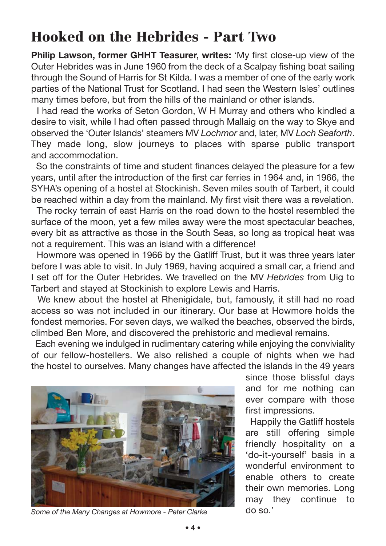## **Hooked on the Hebrides - Part Two**

**Philip Lawson, former GHHT Teasurer, writes:** 'My first close-up view of the Outer Hebrides was in June 1960 from the deck of a Scalpay fishing boat sailing through the Sound of Harris for St Kilda. I was a member of one of the early work parties of the National Trust for Scotland. I had seen the Western Isles' outlines many times before, but from the hills of the mainland or other islands.

I had read the works of Seton Gordon, W H Murray and others who kindled a desire to visit, while I had often passed through Mallaig on the way to Skye and observed the 'Outer Islands' steamers MV *Lochmor* and, later, MV *Loch Seaforth*. They made long, slow journeys to places with sparse public transport and accommodation.

So the constraints of time and student finances delayed the pleasure for a few years, until after the introduction of the first car ferries in 1964 and, in 1966, the SYHA's opening of a hostel at Stockinish. Seven miles south of Tarbert, it could be reached within a day from the mainland. My first visit there was a revelation.

The rocky terrain of east Harris on the road down to the hostel resembled the surface of the moon, yet a few miles away were the most spectacular beaches, every bit as attractive as those in the South Seas, so long as tropical heat was not a requirement. This was an island with a difference!

Howmore was opened in 1966 by the Gatliff Trust, but it was three years later before I was able to visit. In July 1969, having acquired a small car, a friend and I set off for the Outer Hebrides. We travelled on the MV *Hebrides* from Uig to Tarbert and stayed at Stockinish to explore Lewis and Harris.

We knew about the hostel at Rhenigidale, but, famously, it still had no road access so was not included in our itinerary. Our base at Howmore holds the fondest memories. For seven days, we walked the beaches, observed the birds, climbed Ben More, and discovered the prehistoric and medieval remains.

Each evening we indulged in rudimentary catering while enjoying the conviviality of our fellow-hostellers. We also relished a couple of nights when we had the hostel to ourselves. Many changes have affected the islands in the 49 years



*Some of the Many Changes at Howmore - Peter Clarke*

since those blissful days and for me nothing can ever compare with those first impressions.

Happily the Gatliff hostels are still offering simple friendly hospitality on a 'do-it-yourself' basis in a wonderful environment to enable others to create their own memories. Long may they continue to do so.'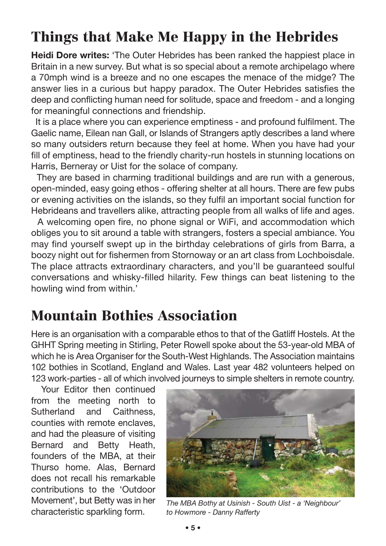## **Things that Make Me Happy in the Hebrides**

**Heidi Dore writes:** 'The Outer Hebrides has been ranked the happiest place in Britain in a new survey. But what is so special about a remote archipelago where a 70mph wind is a breeze and no one escapes the menace of the midge? The answer lies in a curious but happy paradox. The Outer Hebrides satisfies the deep and conflicting human need for solitude, space and freedom - and a longing for meaningful connections and friendship.

It is a place where you can experience emptiness - and profound fulfilment. The Gaelic name, Eilean nan Gall, or Islands of Strangers aptly describes a land where so many outsiders return because they feel at home. When you have had your fill of emptiness, head to the friendly charity-run hostels in stunning locations on Harris, Berneray or Uist for the solace of company.

They are based in charming traditional buildings and are run with a generous, open-minded, easy going ethos - offering shelter at all hours. There are few pubs or evening activities on the islands, so they fulfil an important social function for Hebrideans and travellers alike, attracting people from all walks of life and ages.

A welcoming open fire, no phone signal or WiFi, and accommodation which obliges you to sit around a table with strangers, fosters a special ambiance. You may find yourself swept up in the birthday celebrations of girls from Barra, a boozy night out for fishermen from Stornoway or an art class from Lochboisdale. The place attracts extraordinary characters, and you'll be guaranteed soulful conversations and whisky-filled hilarity. Few things can beat listening to the howling wind from within.'

## **Mountain Bothies Association**

Here is an organisation with a comparable ethos to that of the Gatliff Hostels. At the GHHT Spring meeting in Stirling, Peter Rowell spoke about the 53-year-old MBA of which he is Area Organiser for the South-West Highlands. The Association maintains 102 bothies in Scotland, England and Wales. Last year 482 volunteers helped on 123 work-parties - all of which involved journeys to simple shelters in remote country.

Your Editor then continued from the meeting north to Sutherland and Caithness, counties with remote enclaves, and had the pleasure of visiting Bernard and Betty Heath, founders of the MBA, at their Thurso home. Alas, Bernard does not recall his remarkable contributions to the 'Outdoor Movement', but Betty was in her characteristic sparkling form.



*The MBA Bothy at Usinish - South Uist - a 'Neighbour' to Howmore - Danny Rafferty*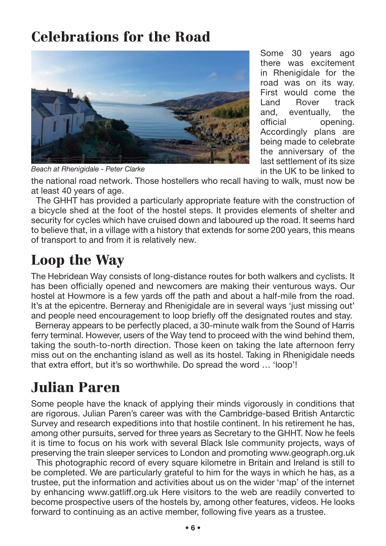## **Celebrations for the Road**



Some 30 years ago there was excitement in Rhenigidale for the road was on its way. First would come the Land Rover track and, eventually, the official opening. Accordingly plans are being made to celebrate the anniversary of the last settlement of its size in the UK to be linked to

*Beach at Rhenigidale - Peter Clarke*

the national road network. Those hostellers who recall having to walk, must now be at least 40 years of age.

The GHHT has provided a particularly appropriate feature with the construction of a bicycle shed at the foot of the hostel steps. It provides elements of shelter and security for cycles which have cruised down and laboured up the road. It seems hard to believe that, in a village with a history that extends for some 200 years, this means of transport to and from it is relatively new.

## **Loop the Way**

The Hebridean Way consists of long-distance routes for both walkers and cyclists. It has been officially opened and newcomers are making their venturous ways. Our hostel at Howmore is a few yards off the path and about a half-mile from the road. It's at the epicentre. Berneray and Rhenigidale are in several ways 'just missing out' and people need encouragement to loop briefly off the designated routes and stay.

Berneray appears to be perfectly placed, a 30-minute walk from the Sound of Harris ferry terminal. However, users of the Way tend to proceed with the wind behind them, taking the south-to-north direction. Those keen on taking the late afternoon ferry miss out on the enchanting island as well as its hostel. Taking in Rhenigidale needs that extra effort, but it's so worthwhile. Do spread the word … 'loop'!

### **Julian Paren**

Some people have the knack of applying their minds vigorously in conditions that are rigorous. Julian Paren's career was with the Cambridge-based British Antarctic Survey and research expeditions into that hostile continent. In his retirement he has, among other pursuits, served for three years as Secretary to the GHHT. Now he feels it is time to focus on his work with several Black Isle community projects, ways of preserving the train sleeper services to London and promoting www.geograph.org.uk

This photographic record of every square kilometre in Britain and Ireland is still to be completed. We are particularly grateful to him for the ways in which he has, as a trustee, put the information and activities about us on the wider 'map' of the internet by enhancing www.gatliff.org.uk Here visitors to the web are readily converted to become prospective users of the hostels by, among other features, videos. He looks forward to continuing as an active member, following five years as a trustee.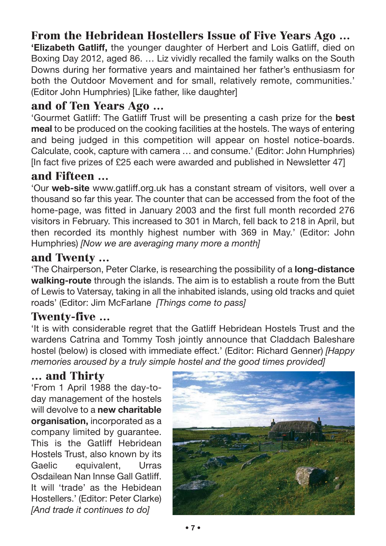#### **From the Hebridean Hostellers Issue of Five Years Ago …**

**'Elizabeth Gatliff,** the younger daughter of Herbert and Lois Gatliff, died on Boxing Day 2012, aged 86. … Liz vividly recalled the family walks on the South Downs during her formative years and maintained her father's enthusiasm for both the Outdoor Movement and for small, relatively remote, communities.' (Editor John Humphries) [Like father, like daughter]

#### **and of Ten Years Ago …**

'Gourmet Gatliff: The Gatliff Trust will be presenting a cash prize for the **best meal** to be produced on the cooking facilities at the hostels. The ways of entering and being judged in this competition will appear on hostel notice-boards. Calculate, cook, capture with camera … and consume.' (Editor: John Humphries) [In fact five prizes of £25 each were awarded and published in Newsletter 47]

#### **and Fifteen …**

'Our **web-site** www.gatliff.org.uk has a constant stream of visitors, well over a thousand so far this year. The counter that can be accessed from the foot of the home-page, was fitted in January 2003 and the first full month recorded 276 visitors in February. This increased to 301 in March, fell back to 218 in April, but then recorded its monthly highest number with 369 in May.' (Editor: John Humphries) *[Now we are averaging many more a month]*

#### **and Twenty …**

'The Chairperson, Peter Clarke, is researching the possibility of a **long-distance walking-route** through the islands. The aim is to establish a route from the Butt of Lewis to Vatersay, taking in all the inhabited islands, using old tracks and quiet roads' (Editor: Jim McFarlane *[Things come to pass]*

#### **Twenty-five …**

'It is with considerable regret that the Gatliff Hebridean Hostels Trust and the wardens Catrina and Tommy Tosh jointly announce that Claddach Baleshare hostel (below) is closed with immediate effect.' (Editor: Richard Genner) *[Happy memories aroused by a truly simple hostel and the good times provided]*

#### **… and Thirty**

'From 1 April 1988 the day-today management of the hostels will devolve to a **new charitable organisation,** incorporated as a company limited by guarantee. This is the Gatliff Hebridean Hostels Trust, also known by its Gaelic equivalent, Urras Osdailean Nan Innse Gall Gatliff. It will 'trade' as the Hebidean Hostellers.' (Editor: Peter Clarke) *[And trade it continues to do]*